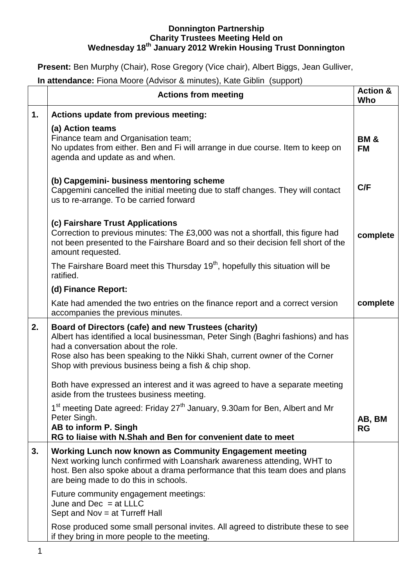# **Donnington Partnership Charity Trustees Meeting Held on Wednesday 18th January 2012 Wrekin Housing Trust Donnington**

**Present:** Ben Murphy (Chair), Rose Gregory (Vice chair), Albert Biggs, Jean Gulliver,

**In attendance:** Fiona Moore (Advisor & minutes), Kate Giblin (support)

|    | <b>Actions from meeting</b>                                                                                                                                                                                                                                                                                           | <b>Action &amp;</b><br>Who   |
|----|-----------------------------------------------------------------------------------------------------------------------------------------------------------------------------------------------------------------------------------------------------------------------------------------------------------------------|------------------------------|
| 1. | Actions update from previous meeting:                                                                                                                                                                                                                                                                                 |                              |
|    | (a) Action teams<br>Finance team and Organisation team;<br>No updates from either. Ben and Fi will arrange in due course. Item to keep on<br>agenda and update as and when.                                                                                                                                           | <b>BM &amp;</b><br><b>FM</b> |
|    | (b) Capgemini- business mentoring scheme<br>Capgemini cancelled the initial meeting due to staff changes. They will contact<br>us to re-arrange. To be carried forward                                                                                                                                                | C/F                          |
|    | (c) Fairshare Trust Applications<br>Correction to previous minutes: The £3,000 was not a shortfall, this figure had<br>not been presented to the Fairshare Board and so their decision fell short of the<br>amount requested.                                                                                         | complete                     |
|    | The Fairshare Board meet this Thursday 19 <sup>th</sup> , hopefully this situation will be<br>ratified.                                                                                                                                                                                                               |                              |
|    | (d) Finance Report:                                                                                                                                                                                                                                                                                                   |                              |
|    | Kate had amended the two entries on the finance report and a correct version<br>accompanies the previous minutes.                                                                                                                                                                                                     | complete                     |
| 2. | Board of Directors (cafe) and new Trustees (charity)<br>Albert has identified a local businessman, Peter Singh (Baghri fashions) and has<br>had a conversation about the role.<br>Rose also has been speaking to the Nikki Shah, current owner of the Corner<br>Shop with previous business being a fish & chip shop. |                              |
|    | Both have expressed an interest and it was agreed to have a separate meeting<br>aside from the trustees business meeting.                                                                                                                                                                                             |                              |
|    | 1 <sup>st</sup> meeting Date agreed: Friday 27 <sup>th</sup> January, 9.30am for Ben, Albert and Mr<br>Peter Singh.<br>AB to inform P. Singh<br>RG to liaise with N.Shah and Ben for convenient date to meet                                                                                                          | AB, BM<br><b>RG</b>          |
| 3. | Working Lunch now known as Community Engagement meeting<br>Next working lunch confirmed with Loanshark awareness attending, WHT to<br>host. Ben also spoke about a drama performance that this team does and plans<br>are being made to do this in schools.                                                           |                              |
|    | Future community engagement meetings:<br>June and $Dec = at LLLC$<br>Sept and Nov = at Turreff Hall                                                                                                                                                                                                                   |                              |
|    | Rose produced some small personal invites. All agreed to distribute these to see<br>if they bring in more people to the meeting.                                                                                                                                                                                      |                              |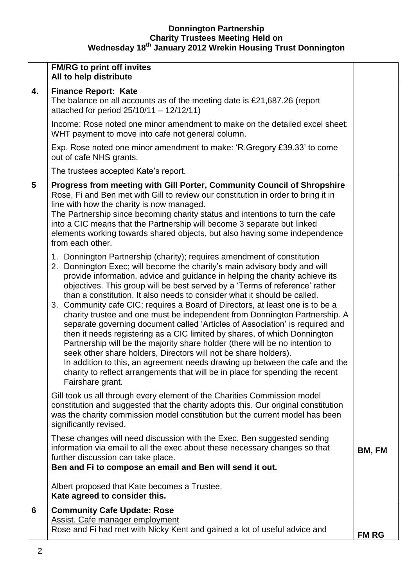# **Donnington Partnership Charity Trustees Meeting Held on Wednesday 18th January 2012 Wrekin Housing Trust Donnington**

|    | <b>FM/RG to print off invites</b><br>All to help distribute                                                                                                                                                                                                                                                                                                                                                                                                                                                                                                                                                                                                                                                                                                                                                                                                                                                                                                                                                                                                       |              |
|----|-------------------------------------------------------------------------------------------------------------------------------------------------------------------------------------------------------------------------------------------------------------------------------------------------------------------------------------------------------------------------------------------------------------------------------------------------------------------------------------------------------------------------------------------------------------------------------------------------------------------------------------------------------------------------------------------------------------------------------------------------------------------------------------------------------------------------------------------------------------------------------------------------------------------------------------------------------------------------------------------------------------------------------------------------------------------|--------------|
| 4. | <b>Finance Report: Kate</b><br>The balance on all accounts as of the meeting date is £21,687.26 (report<br>attached for period 25/10/11 - 12/12/11)                                                                                                                                                                                                                                                                                                                                                                                                                                                                                                                                                                                                                                                                                                                                                                                                                                                                                                               |              |
|    | Income: Rose noted one minor amendment to make on the detailed excel sheet:<br>WHT payment to move into cafe not general column.                                                                                                                                                                                                                                                                                                                                                                                                                                                                                                                                                                                                                                                                                                                                                                                                                                                                                                                                  |              |
|    | Exp. Rose noted one minor amendment to make: 'R. Gregory £39.33' to come<br>out of cafe NHS grants.                                                                                                                                                                                                                                                                                                                                                                                                                                                                                                                                                                                                                                                                                                                                                                                                                                                                                                                                                               |              |
|    | The trustees accepted Kate's report.                                                                                                                                                                                                                                                                                                                                                                                                                                                                                                                                                                                                                                                                                                                                                                                                                                                                                                                                                                                                                              |              |
| 5  | Progress from meeting with Gill Porter, Community Council of Shropshire<br>Rose, Fi and Ben met with Gill to review our constitution in order to bring it in<br>line with how the charity is now managed.<br>The Partnership since becoming charity status and intentions to turn the cafe<br>into a CIC means that the Partnership will become 3 separate but linked<br>elements working towards shared objects, but also having some independence<br>from each other.                                                                                                                                                                                                                                                                                                                                                                                                                                                                                                                                                                                           |              |
|    | 1. Donnington Partnership (charity); requires amendment of constitution<br>2. Donnington Exec; will become the charity's main advisory body and will<br>provide information, advice and guidance in helping the charity achieve its<br>objectives. This group will be best served by a 'Terms of reference' rather<br>than a constitution. It also needs to consider what it should be called.<br>3. Community cafe CIC; requires a Board of Directors, at least one is to be a<br>charity trustee and one must be independent from Donnington Partnership. A<br>separate governing document called 'Articles of Association' is required and<br>then it needs registering as a CIC limited by shares, of which Donnington<br>Partnership will be the majority share holder (there will be no intention to<br>seek other share holders, Directors will not be share holders).<br>In addition to this, an agreement needs drawing up between the cafe and the<br>charity to reflect arrangements that will be in place for spending the recent<br>Fairshare grant. |              |
|    | Gill took us all through every element of the Charities Commission model<br>constitution and suggested that the charity adopts this. Our original constitution<br>was the charity commission model constitution but the current model has been<br>significantly revised.                                                                                                                                                                                                                                                                                                                                                                                                                                                                                                                                                                                                                                                                                                                                                                                          |              |
|    | These changes will need discussion with the Exec. Ben suggested sending<br>information via email to all the exec about these necessary changes so that<br>further discussion can take place.<br>Ben and Fi to compose an email and Ben will send it out.                                                                                                                                                                                                                                                                                                                                                                                                                                                                                                                                                                                                                                                                                                                                                                                                          | BM, FM       |
|    | Albert proposed that Kate becomes a Trustee.<br>Kate agreed to consider this.                                                                                                                                                                                                                                                                                                                                                                                                                                                                                                                                                                                                                                                                                                                                                                                                                                                                                                                                                                                     |              |
| 6  | <b>Community Cafe Update: Rose</b><br>Assist. Cafe manager employment<br>Rose and Fi had met with Nicky Kent and gained a lot of useful advice and                                                                                                                                                                                                                                                                                                                                                                                                                                                                                                                                                                                                                                                                                                                                                                                                                                                                                                                | <b>FM RG</b> |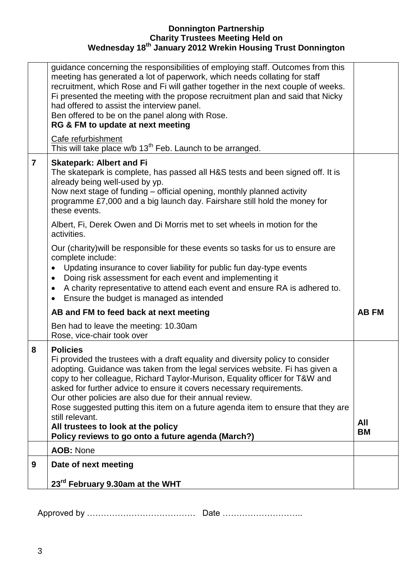# **Donnington Partnership Charity Trustees Meeting Held on Wednesday 18th January 2012 Wrekin Housing Trust Donnington**

| guidance concerning the responsibilities of employing staff. Outcomes from this<br>meeting has generated a lot of paperwork, which needs collating for staff<br>recruitment, which Rose and Fi will gather together in the next couple of weeks.<br>Fi presented the meeting with the propose recruitment plan and said that Nicky<br>had offered to assist the interview panel.<br>Ben offered to be on the panel along with Rose.<br>RG & FM to update at next meeting                                          |              |
|-------------------------------------------------------------------------------------------------------------------------------------------------------------------------------------------------------------------------------------------------------------------------------------------------------------------------------------------------------------------------------------------------------------------------------------------------------------------------------------------------------------------|--------------|
| Cafe refurbishment<br>This will take place w/b 13 <sup>th</sup> Feb. Launch to be arranged.                                                                                                                                                                                                                                                                                                                                                                                                                       |              |
| $\overline{7}$<br><b>Skatepark: Albert and Fi</b><br>The skatepark is complete, has passed all H&S tests and been signed off. It is<br>already being well-used by yp.<br>Now next stage of funding – official opening, monthly planned activity<br>programme £7,000 and a big launch day. Fairshare still hold the money for<br>these events.                                                                                                                                                                     |              |
| Albert, Fi, Derek Owen and Di Morris met to set wheels in motion for the<br>activities.                                                                                                                                                                                                                                                                                                                                                                                                                           |              |
| Our (charity) will be responsible for these events so tasks for us to ensure are<br>complete include:<br>Updating insurance to cover liability for public fun day-type events<br>Doing risk assessment for each event and implementing it<br>$\bullet$<br>A charity representative to attend each event and ensure RA is adhered to.<br>$\bullet$<br>Ensure the budget is managed as intended<br>٠                                                                                                                |              |
| AB and FM to feed back at next meeting                                                                                                                                                                                                                                                                                                                                                                                                                                                                            | <b>AB FM</b> |
| Ben had to leave the meeting: 10.30am<br>Rose, vice-chair took over                                                                                                                                                                                                                                                                                                                                                                                                                                               |              |
| <b>Policies</b><br>8<br>Fi provided the trustees with a draft equality and diversity policy to consider<br>adopting. Guidance was taken from the legal services website. Fi has given a<br>copy to her colleague, Richard Taylor-Murison, Equality officer for T&W and<br>asked for further advice to ensure it covers necessary requirements.<br>Our other policies are also due for their annual review.<br>Rose suggested putting this item on a future agenda item to ensure that they are<br>still relevant. | All          |
| All trustees to look at the policy<br>Policy reviews to go onto a future agenda (March?)                                                                                                                                                                                                                                                                                                                                                                                                                          | BM           |
| <b>AOB: None</b>                                                                                                                                                                                                                                                                                                                                                                                                                                                                                                  |              |
| 9<br>Date of next meeting                                                                                                                                                                                                                                                                                                                                                                                                                                                                                         |              |
|                                                                                                                                                                                                                                                                                                                                                                                                                                                                                                                   |              |

Approved by ………………………………… Date ………………………..